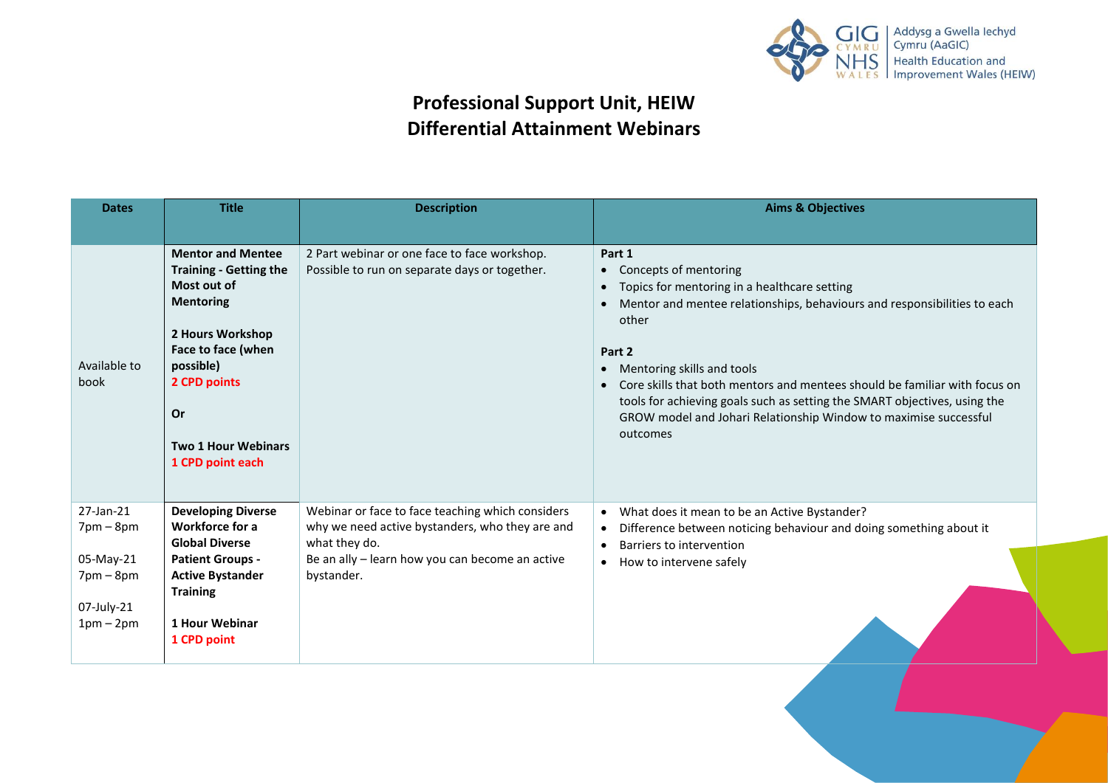

## **Professional Support Unit, HEIW Differential Attainment Webinars**

| <b>Dates</b>                 | <b>Title</b>                                                                                                                                                                                                                       | <b>Description</b>                                                                                                   | <b>Aims &amp; Objectives</b>                                                                                                                                                                                                                                                                                                                                                                                                                                                                   |
|------------------------------|------------------------------------------------------------------------------------------------------------------------------------------------------------------------------------------------------------------------------------|----------------------------------------------------------------------------------------------------------------------|------------------------------------------------------------------------------------------------------------------------------------------------------------------------------------------------------------------------------------------------------------------------------------------------------------------------------------------------------------------------------------------------------------------------------------------------------------------------------------------------|
|                              |                                                                                                                                                                                                                                    |                                                                                                                      |                                                                                                                                                                                                                                                                                                                                                                                                                                                                                                |
| Available to<br>book         | <b>Mentor and Mentee</b><br><b>Training - Getting the</b><br>Most out of<br><b>Mentoring</b><br>2 Hours Workshop<br>Face to face (when<br>possible)<br>2 CPD points<br><b>Or</b><br><b>Two 1 Hour Webinars</b><br>1 CPD point each | 2 Part webinar or one face to face workshop.<br>Possible to run on separate days or together.                        | Part 1<br>Concepts of mentoring<br>$\bullet$<br>Topics for mentoring in a healthcare setting<br>$\bullet$<br>Mentor and mentee relationships, behaviours and responsibilities to each<br>other<br>Part 2<br>Mentoring skills and tools<br>$\bullet$<br>Core skills that both mentors and mentees should be familiar with focus on<br>tools for achieving goals such as setting the SMART objectives, using the<br>GROW model and Johari Relationship Window to maximise successful<br>outcomes |
| 27-Jan-21<br>$7$ pm $-$ 8pm  | <b>Developing Diverse</b><br><b>Workforce for a</b><br><b>Global Diverse</b>                                                                                                                                                       | Webinar or face to face teaching which considers<br>why we need active bystanders, who they are and<br>what they do. | What does it mean to be an Active Bystander?<br>$\bullet$<br>Difference between noticing behaviour and doing something about it<br>$\bullet$<br>Barriers to intervention<br>$\bullet$                                                                                                                                                                                                                                                                                                          |
| 05-May-21<br>$7$ pm – $8$ pm | <b>Patient Groups -</b><br><b>Active Bystander</b><br><b>Training</b>                                                                                                                                                              | Be an ally - learn how you can become an active<br>bystander.                                                        | • How to intervene safely                                                                                                                                                                                                                                                                                                                                                                                                                                                                      |
| 07-July-21<br>$1pm-2pm$      | <b>1 Hour Webinar</b><br>1 CPD point                                                                                                                                                                                               |                                                                                                                      |                                                                                                                                                                                                                                                                                                                                                                                                                                                                                                |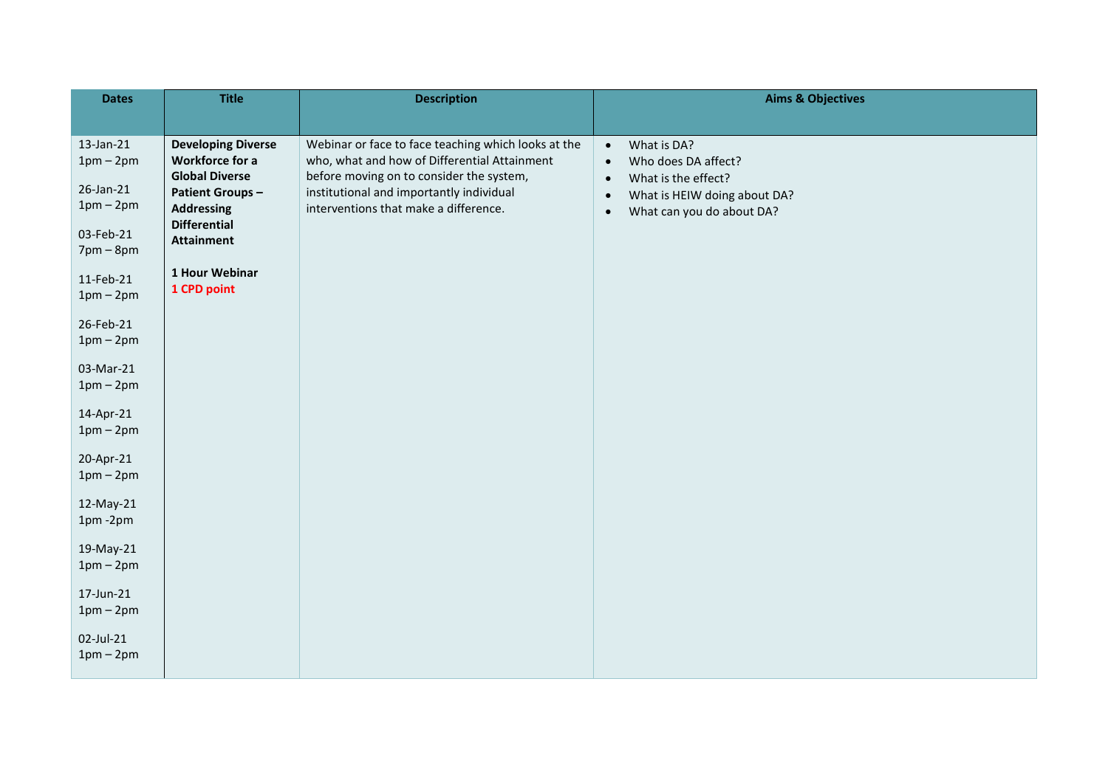| <b>Dates</b>                 | <b>Title</b>                                                                 | <b>Description</b>                                                                                                                              | <b>Aims &amp; Objectives</b>                                                                     |
|------------------------------|------------------------------------------------------------------------------|-------------------------------------------------------------------------------------------------------------------------------------------------|--------------------------------------------------------------------------------------------------|
|                              |                                                                              |                                                                                                                                                 |                                                                                                  |
| 13-Jan-21<br>$1pm-2pm$       | <b>Developing Diverse</b><br><b>Workforce for a</b><br><b>Global Diverse</b> | Webinar or face to face teaching which looks at the<br>who, what and how of Differential Attainment<br>before moving on to consider the system, | What is DA?<br>$\bullet$<br>Who does DA affect?<br>$\bullet$<br>What is the effect?<br>$\bullet$ |
| 26-Jan-21<br>$1pm-2pm$       | <b>Patient Groups-</b><br><b>Addressing</b><br><b>Differential</b>           | institutional and importantly individual<br>interventions that make a difference.                                                               | What is HEIW doing about DA?<br>$\bullet$<br>What can you do about DA?<br>$\bullet$              |
| 03-Feb-21<br>$7$ pm – $8$ pm | <b>Attainment</b>                                                            |                                                                                                                                                 |                                                                                                  |
| 11-Feb-21<br>$1pm-2pm$       | 1 Hour Webinar<br>1 CPD point                                                |                                                                                                                                                 |                                                                                                  |
| 26-Feb-21<br>$1pm-2pm$       |                                                                              |                                                                                                                                                 |                                                                                                  |
| 03-Mar-21<br>$1pm-2pm$       |                                                                              |                                                                                                                                                 |                                                                                                  |
| 14-Apr-21<br>$1pm-2pm$       |                                                                              |                                                                                                                                                 |                                                                                                  |
| 20-Apr-21<br>$1pm-2pm$       |                                                                              |                                                                                                                                                 |                                                                                                  |
| 12-May-21<br>1pm-2pm         |                                                                              |                                                                                                                                                 |                                                                                                  |
| 19-May-21<br>$1pm-2pm$       |                                                                              |                                                                                                                                                 |                                                                                                  |
| 17-Jun-21<br>$1pm-2pm$       |                                                                              |                                                                                                                                                 |                                                                                                  |
| 02-Jul-21<br>$1pm-2pm$       |                                                                              |                                                                                                                                                 |                                                                                                  |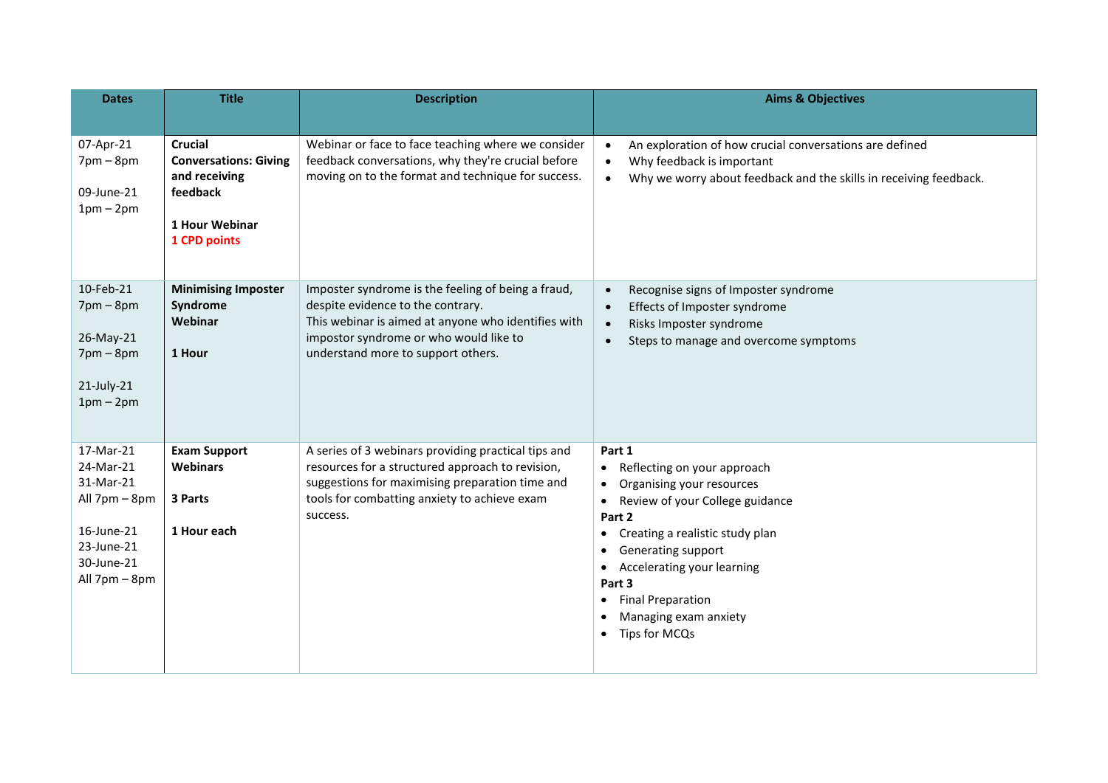| <b>Dates</b>                                                                                                    | <b>Title</b>                                                                                                  | <b>Description</b>                                                                                                                                                                                                             | <b>Aims &amp; Objectives</b>                                                                                                                                                                                                                                                                                                                            |
|-----------------------------------------------------------------------------------------------------------------|---------------------------------------------------------------------------------------------------------------|--------------------------------------------------------------------------------------------------------------------------------------------------------------------------------------------------------------------------------|---------------------------------------------------------------------------------------------------------------------------------------------------------------------------------------------------------------------------------------------------------------------------------------------------------------------------------------------------------|
|                                                                                                                 |                                                                                                               |                                                                                                                                                                                                                                |                                                                                                                                                                                                                                                                                                                                                         |
| 07-Apr-21<br>$7$ pm $-$ 8pm<br>09-June-21<br>$1pm-2pm$                                                          | <b>Crucial</b><br><b>Conversations: Giving</b><br>and receiving<br>feedback<br>1 Hour Webinar<br>1 CPD points | Webinar or face to face teaching where we consider<br>feedback conversations, why they're crucial before<br>moving on to the format and technique for success.                                                                 | An exploration of how crucial conversations are defined<br>$\bullet$<br>Why feedback is important<br>$\bullet$<br>Why we worry about feedback and the skills in receiving feedback.<br>$\bullet$                                                                                                                                                        |
| 10-Feb-21<br>$7$ pm $-$ 8pm<br>26-May-21<br>$7$ pm $-$ 8pm<br>21-July-21<br>$1pm-2pm$                           | <b>Minimising Imposter</b><br>Syndrome<br>Webinar<br>1 Hour                                                   | Imposter syndrome is the feeling of being a fraud,<br>despite evidence to the contrary.<br>This webinar is aimed at anyone who identifies with<br>impostor syndrome or who would like to<br>understand more to support others. | Recognise signs of Imposter syndrome<br>Effects of Imposter syndrome<br>$\bullet$<br>Risks Imposter syndrome<br>$\bullet$<br>Steps to manage and overcome symptoms<br>$\bullet$                                                                                                                                                                         |
| 17-Mar-21<br>24-Mar-21<br>31-Mar-21<br>All 7pm - 8pm<br>16-June-21<br>23-June-21<br>30-June-21<br>All 7pm - 8pm | <b>Exam Support</b><br><b>Webinars</b><br>3 Parts<br>1 Hour each                                              | A series of 3 webinars providing practical tips and<br>resources for a structured approach to revision,<br>suggestions for maximising preparation time and<br>tools for combatting anxiety to achieve exam<br>success.         | Part 1<br>Reflecting on your approach<br>$\bullet$<br>Organising your resources<br>Review of your College guidance<br>$\bullet$<br>Part 2<br>Creating a realistic study plan<br>$\bullet$<br>Generating support<br>Accelerating your learning<br>Part 3<br><b>Final Preparation</b><br>$\bullet$<br>Managing exam anxiety<br>Tips for MCQs<br>$\bullet$ |